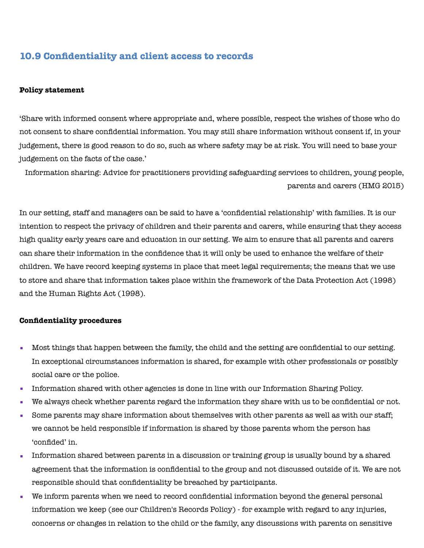# **10.9 Confidentiality and client access to records**

#### **Policy statement**

'Share with informed consent where appropriate and, where possible, respect the wishes of those who do not consent to share confidential information. You may still share information without consent if, in your judgement, there is good reason to do so, such as where safety may be at risk. You will need to base your judgement on the facts of the case.'

Information sharing: Advice for practitioners providing safeguarding services to children, young people, parents and carers (HMG 2015)

In our setting, staff and managers can be said to have a 'confidential relationship' with families. It is our intention to respect the privacy of children and their parents and carers, while ensuring that they access high quality early years care and education in our setting. We aim to ensure that all parents and carers can share their information in the confidence that it will only be used to enhance the welfare of their children. We have record keeping systems in place that meet legal requirements; the means that we use to store and share that information takes place within the framework of the Data Protection Act (1998) and the Human Rights Act (1998).

#### **Confidentiality procedures**

- Most things that happen between the family, the child and the setting are confidential to our setting. In exceptional circumstances information is shared, for example with other professionals or possibly social care or the police.
- Information shared with other agencies is done in line with our Information Sharing Policy.
- We always check whether parents regard the information they share with us to be confidential or not.
- Some parents may share information about themselves with other parents as well as with our staff; we cannot be held responsible if information is shared by those parents whom the person has 'confided' in.
- Information shared between parents in a discussion or training group is usually bound by a shared agreement that the information is confidential to the group and not discussed outside of it. We are not responsible should that confidentiality be breached by participants.
- We inform parents when we need to record confidential information beyond the general personal information we keep (see our Children's Records Policy) - for example with regard to any injuries, concerns or changes in relation to the child or the family, any discussions with parents on sensitive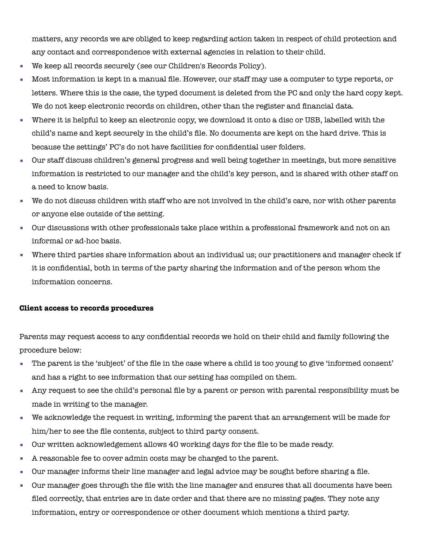matters, any records we are obliged to keep regarding action taken in respect of child protection and any contact and correspondence with external agencies in relation to their child.

- We keep all records securely (see our Children's Records Policy).
- Most information is kept in a manual file. However, our staff may use a computer to type reports, or letters. Where this is the case, the typed document is deleted from the PC and only the hard copy kept. We do not keep electronic records on children, other than the register and financial data.
- Where it is helpful to keep an electronic copy, we download it onto a disc or USB, labelled with the child's name and kept securely in the child's file. No documents are kept on the hard drive. This is because the settings' PC's do not have facilities for confidential user folders.
- Our staff discuss children's general progress and well being together in meetings, but more sensitive information is restricted to our manager and the child's key person, and is shared with other staff on a need to know basis.
- We do not discuss children with staff who are not involved in the child's care, nor with other parents or anyone else outside of the setting.
- Our discussions with other professionals take place within a professional framework and not on an informal or ad-hoc basis.
- Where third parties share information about an individual us; our practitioners and manager check if it is confidential, both in terms of the party sharing the information and of the person whom the information concerns.

## **Client access to records procedures**

Parents may request access to any confidential records we hold on their child and family following the procedure below:

- The parent is the 'subject' of the file in the case where a child is too young to give 'informed consent' and has a right to see information that our setting has compiled on them.
- Any request to see the child's personal file by a parent or person with parental responsibility must be made in writing to the manager.
- We acknowledge the request in writing, informing the parent that an arrangement will be made for him/her to see the file contents, subject to third party consent.
- Our written acknowledgement allows 40 working days for the file to be made ready.
- A reasonable fee to cover admin costs may be charged to the parent.
- Our manager informs their line manager and legal advice may be sought before sharing a file.
- Our manager goes through the file with the line manager and ensures that all documents have been filed correctly, that entries are in date order and that there are no missing pages. They note any information, entry or correspondence or other document which mentions a third party.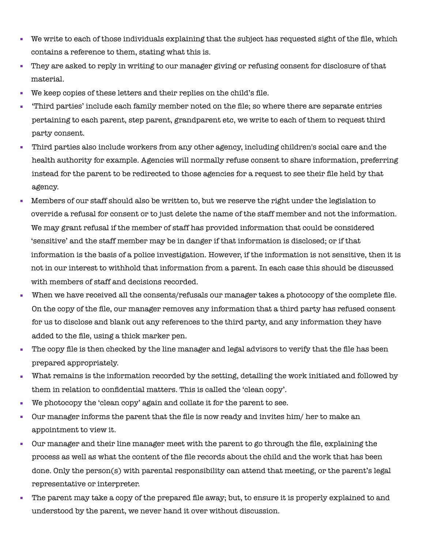- We write to each of those individuals explaining that the subject has requested sight of the file, which contains a reference to them, stating what this is.
- They are asked to reply in writing to our manager giving or refusing consent for disclosure of that material.
- We keep copies of these letters and their replies on the child's file.
- 'Third parties' include each family member noted on the file; so where there are separate entries pertaining to each parent, step parent, grandparent etc, we write to each of them to request third party consent.
- Third parties also include workers from any other agency, including children's social care and the health authority for example. Agencies will normally refuse consent to share information, preferring instead for the parent to be redirected to those agencies for a request to see their file held by that agency.
- Members of our staff should also be written to, but we reserve the right under the legislation to override a refusal for consent or to just delete the name of the staff member and not the information. We may grant refusal if the member of staff has provided information that could be considered 'sensitive' and the staff member may be in danger if that information is disclosed; or if that information is the basis of a police investigation. However, if the information is not sensitive, then it is not in our interest to withhold that information from a parent. In each case this should be discussed with members of staff and decisions recorded.
- When we have received all the consents/refusals our manager takes a photocopy of the complete file. On the copy of the file, our manager removes any information that a third party has refused consent for us to disclose and blank out any references to the third party, and any information they have added to the file, using a thick marker pen.
- The copy file is then checked by the line manager and legal advisors to verify that the file has been prepared appropriately.
- What remains is the information recorded by the setting, detailing the work initiated and followed by them in relation to confidential matters. This is called the 'clean copy'.
- We photocopy the 'clean copy' again and collate it for the parent to see.
- Our manager informs the parent that the file is now ready and invites him/ her to make an appointment to view it.
- Our manager and their line manager meet with the parent to go through the file, explaining the process as well as what the content of the file records about the child and the work that has been done. Only the person(s) with parental responsibility can attend that meeting, or the parent's legal representative or interpreter.
- The parent may take a copy of the prepared file away; but, to ensure it is properly explained to and understood by the parent, we never hand it over without discussion.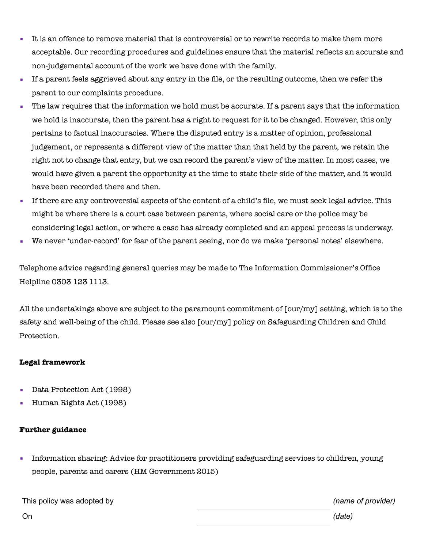- It is an offence to remove material that is controversial or to rewrite records to make them more acceptable. Our recording procedures and guidelines ensure that the material reflects an accurate and non-judgemental account of the work we have done with the family.
- If a parent feels aggrieved about any entry in the file, or the resulting outcome, then we refer the parent to our complaints procedure.
- The law requires that the information we hold must be accurate. If a parent says that the information we hold is inaccurate, then the parent has a right to request for it to be changed. However, this only pertains to factual inaccuracies. Where the disputed entry is a matter of opinion, professional judgement, or represents a different view of the matter than that held by the parent, we retain the right not to change that entry, but we can record the parent's view of the matter. In most cases, we would have given a parent the opportunity at the time to state their side of the matter, and it would have been recorded there and then.
- If there are any controversial aspects of the content of a child's file, we must seek legal advice. This might be where there is a court case between parents, where social care or the police may be considering legal action, or where a case has already completed and an appeal process is underway.
- We never 'under-record' for fear of the parent seeing, nor do we make 'personal notes' elsewhere.

Telephone advice regarding general queries may be made to The Information Commissioner's Office Helpline 0303 123 1113.

All the undertakings above are subject to the paramount commitment of [our/my] setting, which is to the safety and well-being of the child. Please see also [our/my] policy on Safeguarding Children and Child Protection.

### **Legal framework**

- Data Protection Act (1998)
- Human Rights Act (1998)

## **Further guidance**

• Information sharing: Advice for practitioners providing safeguarding services to children, young people, parents and carers (HM Government 2015)

| This policy was adopted by | (name of provider) |
|----------------------------|--------------------|
| On                         | (date)             |